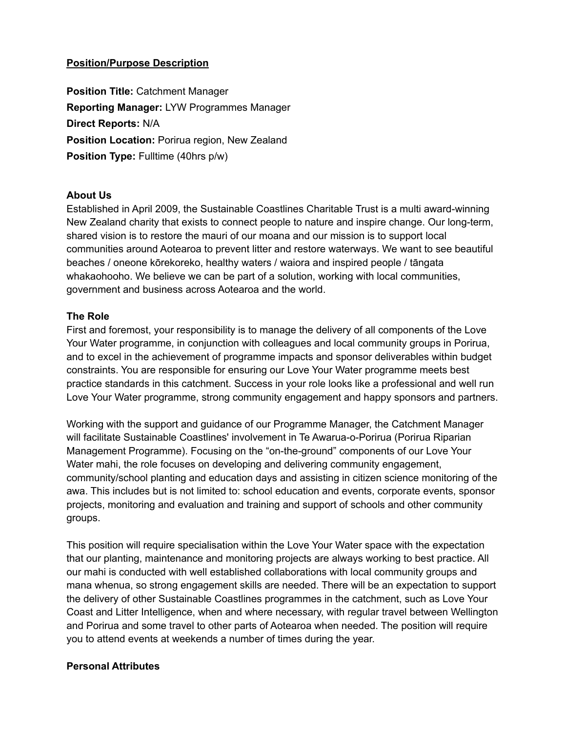# **Position/Purpose Description**

**Position Title:** Catchment Manager **Reporting Manager:** LYW Programmes Manager **Direct Reports:** N/A **Position Location:** Porirua region, New Zealand **Position Type:** Fulltime (40hrs p/w)

## **About Us**

Established in April 2009, the Sustainable Coastlines Charitable Trust is a multi award-winning New Zealand charity that exists to connect people to nature and inspire change. Our long-term, shared vision is to restore the mauri of our moana and our mission is to support local communities around Aotearoa to prevent litter and restore waterways. We want to see beautiful beaches / oneone kōrekoreko, healthy waters / waiora and inspired people / tāngata whakaohooho. We believe we can be part of a solution, working with local communities, government and business across Aotearoa and the world.

## **The Role**

First and foremost, your responsibility is to manage the delivery of all components of the Love Your Water programme, in conjunction with colleagues and local community groups in Porirua, and to excel in the achievement of programme impacts and sponsor deliverables within budget constraints. You are responsible for ensuring our Love Your Water programme meets best practice standards in this catchment. Success in your role looks like a professional and well run Love Your Water programme, strong community engagement and happy sponsors and partners.

Working with the support and guidance of our Programme Manager, the Catchment Manager will facilitate Sustainable Coastlines' involvement in Te Awarua-o-Porirua (Porirua Riparian Management Programme). Focusing on the "on-the-ground" components of our Love Your Water mahi, the role focuses on developing and delivering community engagement, community/school planting and education days and assisting in citizen science monitoring of the awa. This includes but is not limited to: school education and events, corporate events, sponsor projects, monitoring and evaluation and training and support of schools and other community groups.

This position will require specialisation within the Love Your Water space with the expectation that our planting, maintenance and monitoring projects are always working to best practice. All our mahi is conducted with well established collaborations with local community groups and mana whenua, so strong engagement skills are needed. There will be an expectation to support the delivery of other Sustainable Coastlines programmes in the catchment, such as Love Your Coast and Litter Intelligence, when and where necessary, with regular travel between Wellington and Porirua and some travel to other parts of Aotearoa when needed. The position will require you to attend events at weekends a number of times during the year.

## **Personal Attributes**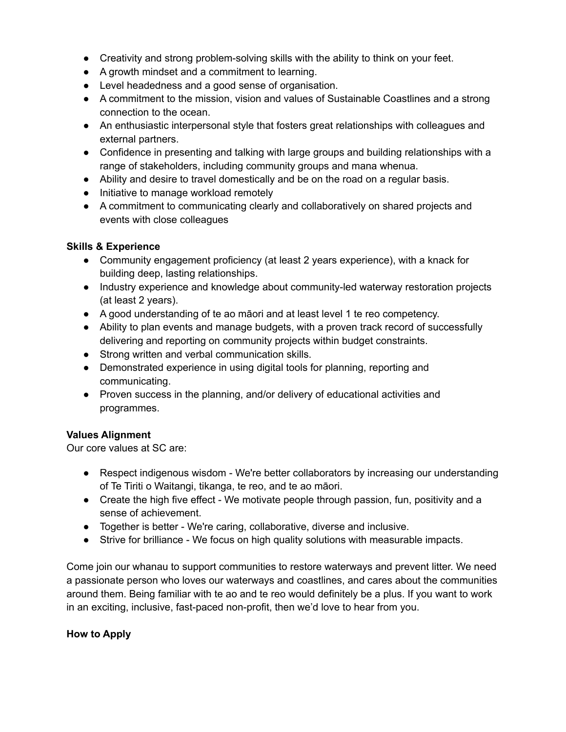- Creativity and strong problem-solving skills with the ability to think on your feet.
- A growth mindset and a commitment to learning.
- Level headedness and a good sense of organisation.
- A commitment to the mission, vision and values of Sustainable Coastlines and a strong connection to the ocean.
- An enthusiastic interpersonal style that fosters great relationships with colleagues and external partners.
- Confidence in presenting and talking with large groups and building relationships with a range of stakeholders, including community groups and mana whenua.
- Ability and desire to travel domestically and be on the road on a regular basis.
- Initiative to manage workload remotely
- A commitment to communicating clearly and collaboratively on shared projects and events with close colleagues

## **Skills & Experience**

- Community engagement proficiency (at least 2 years experience), with a knack for building deep, lasting relationships.
- Industry experience and knowledge about community-led waterway restoration projects (at least 2 years).
- A good understanding of te ao māori and at least level 1 te reo competency.
- Ability to plan events and manage budgets, with a proven track record of successfully delivering and reporting on community projects within budget constraints.
- Strong written and verbal communication skills.
- Demonstrated experience in using digital tools for planning, reporting and communicating.
- Proven success in the planning, and/or delivery of educational activities and programmes.

## **Values Alignment**

Our core values at SC are:

- Respect indigenous wisdom We're better collaborators by increasing our understanding of Te Tiriti o Waitangi, tikanga, te reo, and te ao māori.
- Create the high five effect We motivate people through passion, fun, positivity and a sense of achievement.
- Together is better We're caring, collaborative, diverse and inclusive.
- Strive for brilliance We focus on high quality solutions with measurable impacts.

Come join our whanau to support communities to restore waterways and prevent litter. We need a passionate person who loves our waterways and coastlines, and cares about the communities around them. Being familiar with te ao and te reo would definitely be a plus. If you want to work in an exciting, inclusive, fast-paced non-profit, then we'd love to hear from you.

## **How to Apply**